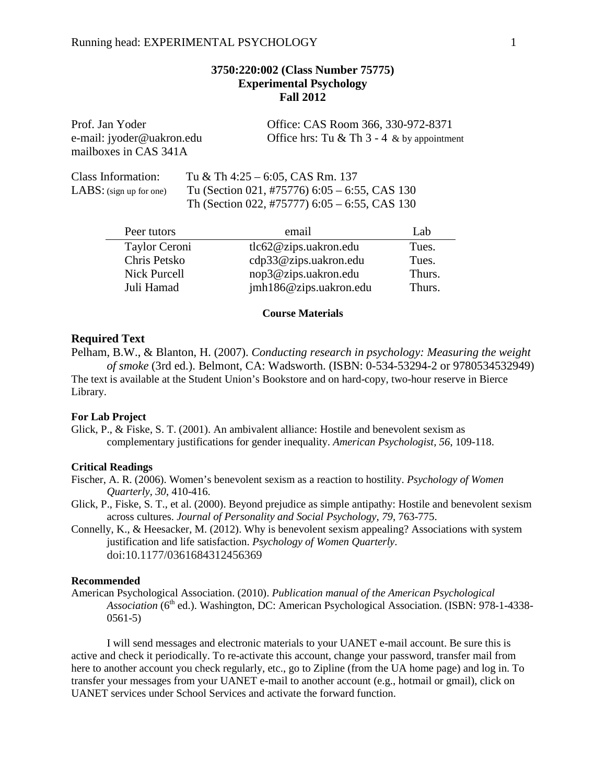# **3750:220:002 (Class Number 75775) Experimental Psychology Fall 2012**

mailboxes in CAS 341A

Prof. Jan Yoder **Office: CAS Room 366, 330-972-8371** e-mail: jyoder@uakron.edu Office hrs: Tu & Th 3 - 4 & by appointment

Class Information: Tu & Th  $4:25 - 6:05$ , CAS Rm. 137 LABS: (sign up for one) Tu (Section 021, #75776) 6:05 – 6:55, CAS 130 Th (Section 022, #75777) 6:05 – 6:55, CAS 130

| Peer tutors         | email                  | Lab    |
|---------------------|------------------------|--------|
| Taylor Ceroni       | tlc62@zips. uakron.edu | Tues.  |
| Chris Petsko        | cdp33@zips.uakron.edu  | Tues.  |
| <b>Nick Purcell</b> | nop3@zips.uakron.edu   | Thurs. |
| Juli Hamad          | jmh186@zips.uakron.edu | Thurs. |

#### **Course Materials**

### **Required Text**

Pelham, B.W., & Blanton, H. (2007). *Conducting research in psychology: Measuring the weight of smoke* (3rd ed.). Belmont, CA: Wadsworth. (ISBN: 0-534-53294-2 or 9780534532949) The text is available at the Student Union's Bookstore and on hard-copy, two-hour reserve in Bierce Library.

#### **For Lab Project**

Glick, P., & Fiske, S. T. (2001). An ambivalent alliance: Hostile and benevolent sexism as complementary justifications for gender inequality. *American Psychologist, 56*, 109-118.

### **Critical Readings**

- Fischer, A. R. (2006). Women's benevolent sexism as a reaction to hostility. *Psychology of Women Quarterly, 30*, 410-416.
- Glick, P., Fiske, S. T., et al. (2000). Beyond prejudice as simple antipathy: Hostile and benevolent sexism across cultures. *Journal of Personality and Social Psychology, 79*, 763-775.
- Connelly, K., & Heesacker, M. (2012). Why is benevolent sexism appealing? Associations with system justification and life satisfaction. *Psychology of Women Quarterly*. doi:10.1177/0361684312456369

#### **Recommended**

American Psychological Association. (2010). *Publication manual of the American Psychological Association* (6<sup>th</sup> ed.). Washington, DC: American Psychological Association. (ISBN: 978-1-4338-0561-5)

I will send messages and electronic materials to your UANET e-mail account. Be sure this is active and check it periodically. To re-activate this account, change your password, transfer mail from here to another account you check regularly, etc., go to Zipline (from the UA home page) and log in. To transfer your messages from your UANET e-mail to another account (e.g., hotmail or gmail), click on UANET services under School Services and activate the forward function.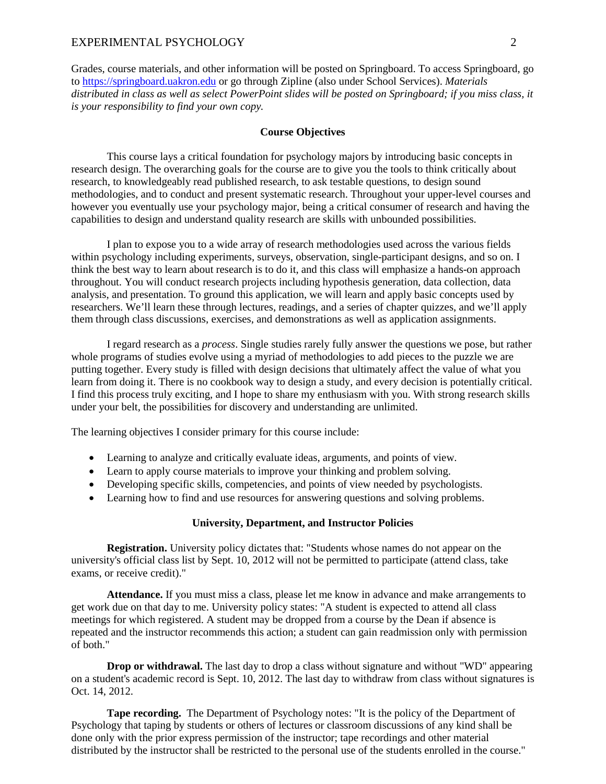### EXPERIMENTAL PSYCHOLOGY 2

Grades, course materials, and other information will be posted on Springboard. To access Springboard, go to [https://springboard.uakron.edu](https://springboard.uakron.edu/) or go through Zipline (also under School Services). *Materials distributed in class as well as select PowerPoint slides will be posted on Springboard; if you miss class, it is your responsibility to find your own copy.*

### **Course Objectives**

This course lays a critical foundation for psychology majors by introducing basic concepts in research design. The overarching goals for the course are to give you the tools to think critically about research, to knowledgeably read published research, to ask testable questions, to design sound methodologies, and to conduct and present systematic research. Throughout your upper-level courses and however you eventually use your psychology major, being a critical consumer of research and having the capabilities to design and understand quality research are skills with unbounded possibilities.

I plan to expose you to a wide array of research methodologies used across the various fields within psychology including experiments, surveys, observation, single-participant designs, and so on. I think the best way to learn about research is to do it, and this class will emphasize a hands-on approach throughout. You will conduct research projects including hypothesis generation, data collection, data analysis, and presentation. To ground this application, we will learn and apply basic concepts used by researchers. We'll learn these through lectures, readings, and a series of chapter quizzes, and we'll apply them through class discussions, exercises, and demonstrations as well as application assignments.

I regard research as a *process*. Single studies rarely fully answer the questions we pose, but rather whole programs of studies evolve using a myriad of methodologies to add pieces to the puzzle we are putting together. Every study is filled with design decisions that ultimately affect the value of what you learn from doing it. There is no cookbook way to design a study, and every decision is potentially critical. I find this process truly exciting, and I hope to share my enthusiasm with you. With strong research skills under your belt, the possibilities for discovery and understanding are unlimited.

The learning objectives I consider primary for this course include:

- Learning to analyze and critically evaluate ideas, arguments, and points of view.
- Learn to apply course materials to improve your thinking and problem solving.
- Developing specific skills, competencies, and points of view needed by psychologists.
- Learning how to find and use resources for answering questions and solving problems.

#### **University, Department, and Instructor Policies**

**Registration.** University policy dictates that: "Students whose names do not appear on the university's official class list by Sept. 10, 2012 will not be permitted to participate (attend class, take exams, or receive credit)."

**Attendance.** If you must miss a class, please let me know in advance and make arrangements to get work due on that day to me. University policy states: "A student is expected to attend all class meetings for which registered. A student may be dropped from a course by the Dean if absence is repeated and the instructor recommends this action; a student can gain readmission only with permission of both."

**Drop or withdrawal.** The last day to drop a class without signature and without "WD" appearing on a student's academic record is Sept. 10, 2012. The last day to withdraw from class without signatures is Oct. 14, 2012.

**Tape recording.** The Department of Psychology notes: "It is the policy of the Department of Psychology that taping by students or others of lectures or classroom discussions of any kind shall be done only with the prior express permission of the instructor; tape recordings and other material distributed by the instructor shall be restricted to the personal use of the students enrolled in the course."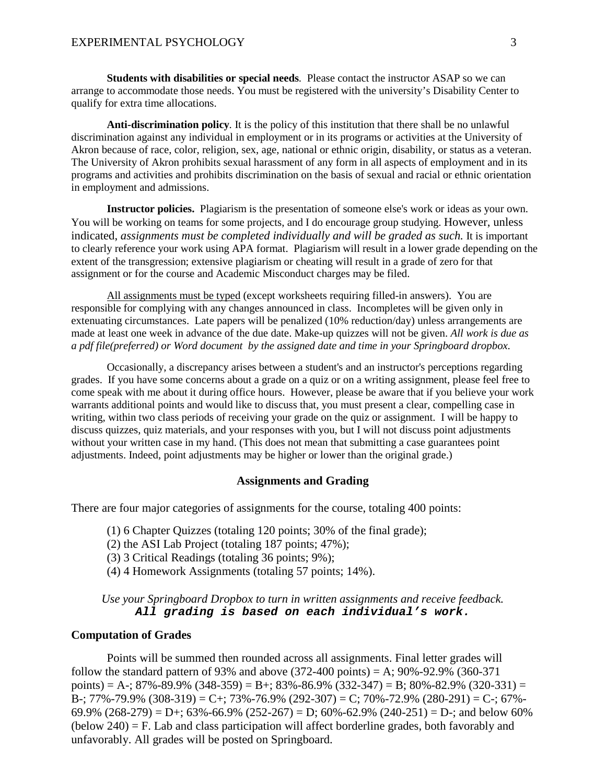**Students with disabilities or special needs***.* Please contact the instructor ASAP so we can arrange to accommodate those needs. You must be registered with the university's Disability Center to qualify for extra time allocations.

**Anti-discrimination policy***.* It is the policy of this institution that there shall be no unlawful discrimination against any individual in employment or in its programs or activities at the University of Akron because of race, color, religion, sex, age, national or ethnic origin, disability, or status as a veteran. The University of Akron prohibits sexual harassment of any form in all aspects of employment and in its programs and activities and prohibits discrimination on the basis of sexual and racial or ethnic orientation in employment and admissions.

**Instructor policies.** Plagiarism is the presentation of someone else's work or ideas as your own. You will be working on teams for some projects, and I do encourage group studying. However, unless indicated, *assignments must be completed individually and will be graded as such.* It is important to clearly reference your work using APA format. Plagiarism will result in a lower grade depending on the extent of the transgression; extensive plagiarism or cheating will result in a grade of zero for that assignment or for the course and Academic Misconduct charges may be filed.

All assignments must be typed (except worksheets requiring filled-in answers). You are responsible for complying with any changes announced in class. Incompletes will be given only in extenuating circumstances. Late papers will be penalized (10% reduction/day) unless arrangements are made at least one week in advance of the due date. Make-up quizzes will not be given. *All work is due as a pdf file(preferred) or Word document by the assigned date and time in your Springboard dropbox.*

Occasionally, a discrepancy arises between a student's and an instructor's perceptions regarding grades. If you have some concerns about a grade on a quiz or on a writing assignment, please feel free to come speak with me about it during office hours. However, please be aware that if you believe your work warrants additional points and would like to discuss that, you must present a clear, compelling case in writing, within two class periods of receiving your grade on the quiz or assignment. I will be happy to discuss quizzes, quiz materials, and your responses with you, but I will not discuss point adjustments without your written case in my hand. (This does not mean that submitting a case guarantees point adjustments. Indeed, point adjustments may be higher or lower than the original grade.)

# **Assignments and Grading**

There are four major categories of assignments for the course, totaling 400 points:

(1) 6 Chapter Quizzes (totaling 120 points; 30% of the final grade);

(2) the ASI Lab Project (totaling 187 points; 47%);

(3) 3 Critical Readings (totaling 36 points; 9%);

(4) 4 Homework Assignments (totaling 57 points; 14%).

# *Use your Springboard Dropbox to turn in written assignments and receive feedback. All grading is based on each individual's work.*

### **Computation of Grades**

Points will be summed then rounded across all assignments. Final letter grades will follow the standard pattern of 93% and above  $(372-400 \text{ points}) = A$ ; 90%-92.9%  $(360-371$ points) = A-; 87%-89.9% (348-359) = B+; 83%-86.9% (332-347) = B; 80%-82.9% (320-331) = B-; 77%-79.9%  $(308-319) = C$ +; 73%-76.9%  $(292-307) = C$ ; 70%-72.9%  $(280-291) = C$ -; 67%-69.9%  $(268-279) = D$ +; 63%-66.9%  $(252-267) = D$ ; 60%-62.9%  $(240-251) = D$ -; and below 60%  $(below 240) = F$ . Lab and class participation will affect borderline grades, both favorably and unfavorably. All grades will be posted on Springboard.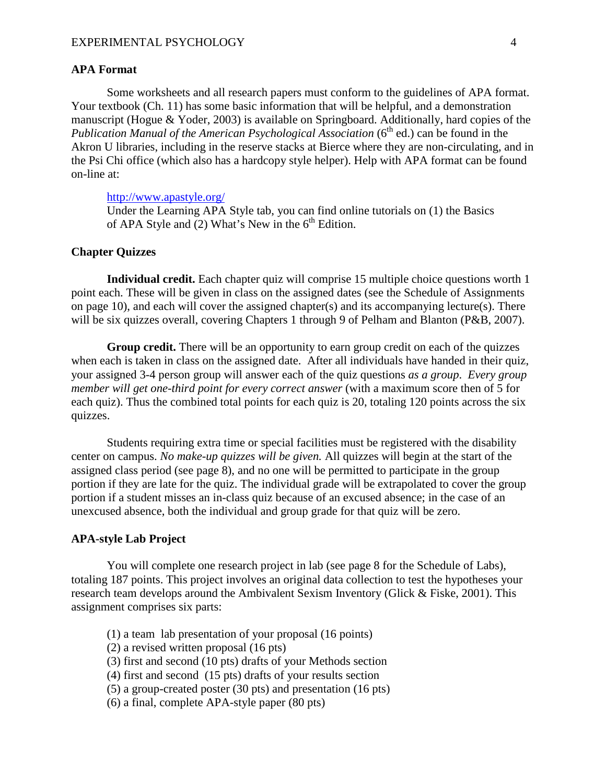### **APA Format**

Some worksheets and all research papers must conform to the guidelines of APA format. Your textbook (Ch. 11) has some basic information that will be helpful, and a demonstration manuscript (Hogue & Yoder, 2003) is available on Springboard. Additionally, hard copies of the *Publication Manual of the American Psychological Association* (6<sup>th</sup> ed.) can be found in the Akron U libraries, including in the reserve stacks at Bierce where they are non-circulating, and in the Psi Chi office (which also has a hardcopy style helper). Help with APA format can be found on-line at:

# <http://www.apastyle.org/>

Under the Learning APA Style tab, you can find online tutorials on (1) the Basics of APA Style and  $(2)$  What's New in the 6<sup>th</sup> Edition.

## **Chapter Quizzes**

**Individual credit.** Each chapter quiz will comprise 15 multiple choice questions worth 1 point each. These will be given in class on the assigned dates (see the Schedule of Assignments on page 10), and each will cover the assigned chapter(s) and its accompanying lecture(s). There will be six quizzes overall, covering Chapters 1 through 9 of Pelham and Blanton (P&B, 2007).

**Group credit.** There will be an opportunity to earn group credit on each of the quizzes when each is taken in class on the assigned date. After all individuals have handed in their quiz, your assigned 3-4 person group will answer each of the quiz questions *as a group*. *Every group member will get one-third point for every correct answer* (with a maximum score then of 5 for each quiz). Thus the combined total points for each quiz is 20, totaling 120 points across the six quizzes.

Students requiring extra time or special facilities must be registered with the disability center on campus. *No make-up quizzes will be given.* All quizzes will begin at the start of the assigned class period (see page 8), and no one will be permitted to participate in the group portion if they are late for the quiz. The individual grade will be extrapolated to cover the group portion if a student misses an in-class quiz because of an excused absence; in the case of an unexcused absence, both the individual and group grade for that quiz will be zero.

### **APA-style Lab Project**

You will complete one research project in lab (see page 8 for the Schedule of Labs), totaling 187 points. This project involves an original data collection to test the hypotheses your research team develops around the Ambivalent Sexism Inventory (Glick & Fiske, 2001). This assignment comprises six parts:

- (1) a team lab presentation of your proposal (16 points)
- (2) a revised written proposal (16 pts)
- (3) first and second (10 pts) drafts of your Methods section
- (4) first and second (15 pts) drafts of your results section
- (5) a group-created poster (30 pts) and presentation (16 pts)
- (6) a final, complete APA-style paper (80 pts)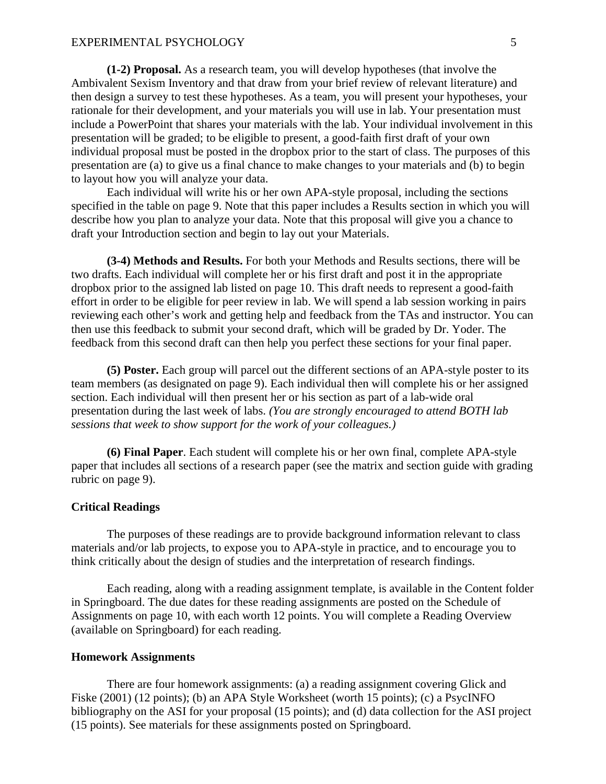**(1-2) Proposal.** As a research team, you will develop hypotheses (that involve the Ambivalent Sexism Inventory and that draw from your brief review of relevant literature) and then design a survey to test these hypotheses. As a team, you will present your hypotheses, your rationale for their development, and your materials you will use in lab. Your presentation must include a PowerPoint that shares your materials with the lab. Your individual involvement in this presentation will be graded; to be eligible to present, a good-faith first draft of your own individual proposal must be posted in the dropbox prior to the start of class. The purposes of this presentation are (a) to give us a final chance to make changes to your materials and (b) to begin to layout how you will analyze your data.

Each individual will write his or her own APA-style proposal, including the sections specified in the table on page 9. Note that this paper includes a Results section in which you will describe how you plan to analyze your data. Note that this proposal will give you a chance to draft your Introduction section and begin to lay out your Materials.

**(3-4) Methods and Results.** For both your Methods and Results sections, there will be two drafts. Each individual will complete her or his first draft and post it in the appropriate dropbox prior to the assigned lab listed on page 10. This draft needs to represent a good-faith effort in order to be eligible for peer review in lab. We will spend a lab session working in pairs reviewing each other's work and getting help and feedback from the TAs and instructor. You can then use this feedback to submit your second draft, which will be graded by Dr. Yoder. The feedback from this second draft can then help you perfect these sections for your final paper.

**(5) Poster.** Each group will parcel out the different sections of an APA-style poster to its team members (as designated on page 9). Each individual then will complete his or her assigned section. Each individual will then present her or his section as part of a lab-wide oral presentation during the last week of labs. *(You are strongly encouraged to attend BOTH lab sessions that week to show support for the work of your colleagues.)*

**(6) Final Paper**. Each student will complete his or her own final, complete APA-style paper that includes all sections of a research paper (see the matrix and section guide with grading rubric on page 9).

# **Critical Readings**

The purposes of these readings are to provide background information relevant to class materials and/or lab projects, to expose you to APA-style in practice, and to encourage you to think critically about the design of studies and the interpretation of research findings.

Each reading, along with a reading assignment template, is available in the Content folder in Springboard. The due dates for these reading assignments are posted on the Schedule of Assignments on page 10, with each worth 12 points. You will complete a Reading Overview (available on Springboard) for each reading.

### **Homework Assignments**

There are four homework assignments: (a) a reading assignment covering Glick and Fiske (2001) (12 points); (b) an APA Style Worksheet (worth 15 points); (c) a PsycINFO bibliography on the ASI for your proposal (15 points); and (d) data collection for the ASI project (15 points). See materials for these assignments posted on Springboard.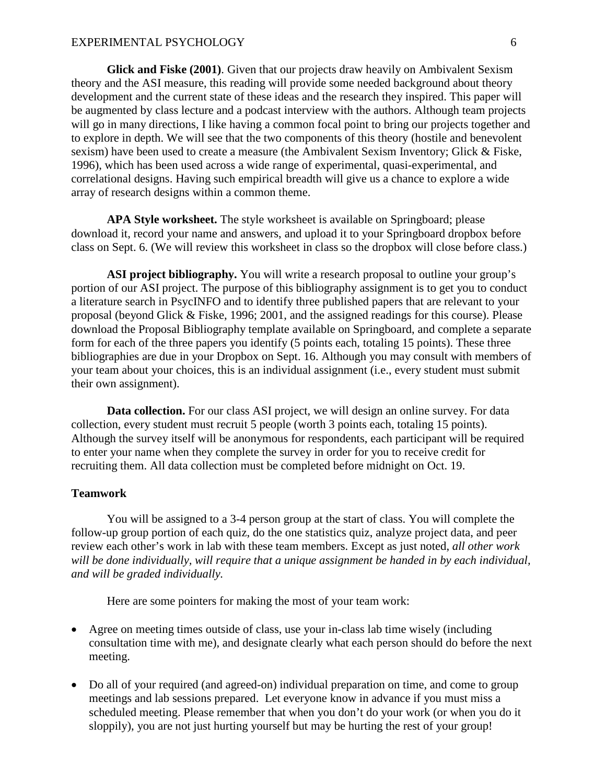**Glick and Fiske (2001)**. Given that our projects draw heavily on Ambivalent Sexism theory and the ASI measure, this reading will provide some needed background about theory development and the current state of these ideas and the research they inspired. This paper will be augmented by class lecture and a podcast interview with the authors. Although team projects will go in many directions, I like having a common focal point to bring our projects together and to explore in depth. We will see that the two components of this theory (hostile and benevolent sexism) have been used to create a measure (the Ambivalent Sexism Inventory; Glick & Fiske, 1996), which has been used across a wide range of experimental, quasi-experimental, and correlational designs. Having such empirical breadth will give us a chance to explore a wide array of research designs within a common theme.

**APA Style worksheet.** The style worksheet is available on Springboard; please download it, record your name and answers, and upload it to your Springboard dropbox before class on Sept. 6. (We will review this worksheet in class so the dropbox will close before class.)

**ASI project bibliography.** You will write a research proposal to outline your group's portion of our ASI project. The purpose of this bibliography assignment is to get you to conduct a literature search in PsycINFO and to identify three published papers that are relevant to your proposal (beyond Glick & Fiske, 1996; 2001, and the assigned readings for this course). Please download the Proposal Bibliography template available on Springboard, and complete a separate form for each of the three papers you identify (5 points each, totaling 15 points). These three bibliographies are due in your Dropbox on Sept. 16. Although you may consult with members of your team about your choices, this is an individual assignment (i.e., every student must submit their own assignment).

**Data collection.** For our class ASI project, we will design an online survey. For data collection, every student must recruit 5 people (worth 3 points each, totaling 15 points). Although the survey itself will be anonymous for respondents, each participant will be required to enter your name when they complete the survey in order for you to receive credit for recruiting them. All data collection must be completed before midnight on Oct. 19.

### **Teamwork**

You will be assigned to a 3-4 person group at the start of class. You will complete the follow-up group portion of each quiz, do the one statistics quiz, analyze project data, and peer review each other's work in lab with these team members. Except as just noted, *all other work will be done individually, will require that a unique assignment be handed in by each individual, and will be graded individually.*

Here are some pointers for making the most of your team work:

- Agree on meeting times outside of class, use your in-class lab time wisely (including consultation time with me), and designate clearly what each person should do before the next meeting.
- Do all of your required (and agreed-on) individual preparation on time, and come to group meetings and lab sessions prepared. Let everyone know in advance if you must miss a scheduled meeting. Please remember that when you don't do your work (or when you do it sloppily), you are not just hurting yourself but may be hurting the rest of your group!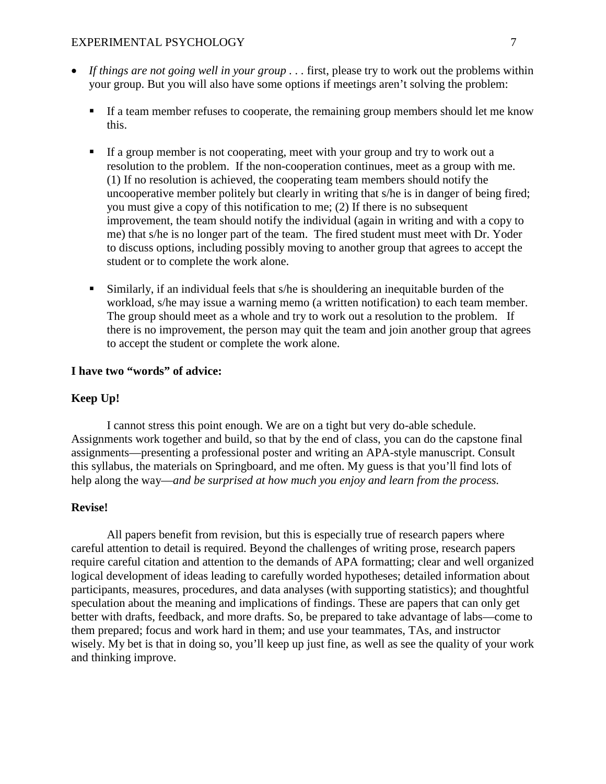# EXPERIMENTAL PSYCHOLOGY 7

- *If things are not going well in your group . . .* first, please try to work out the problems within your group. But you will also have some options if meetings aren't solving the problem:
	- If a team member refuses to cooperate, the remaining group members should let me know this.
	- If a group member is not cooperating, meet with your group and try to work out a resolution to the problem. If the non-cooperation continues, meet as a group with me. (1) If no resolution is achieved, the cooperating team members should notify the uncooperative member politely but clearly in writing that s/he is in danger of being fired; you must give a copy of this notification to me; (2) If there is no subsequent improvement, the team should notify the individual (again in writing and with a copy to me) that s/he is no longer part of the team. The fired student must meet with Dr. Yoder to discuss options, including possibly moving to another group that agrees to accept the student or to complete the work alone.
	- Similarly, if an individual feels that s/he is shouldering an inequitable burden of the workload, s/he may issue a warning memo (a written notification) to each team member. The group should meet as a whole and try to work out a resolution to the problem. If there is no improvement, the person may quit the team and join another group that agrees to accept the student or complete the work alone.

# **I have two "words" of advice:**

# **Keep Up!**

I cannot stress this point enough. We are on a tight but very do-able schedule. Assignments work together and build, so that by the end of class, you can do the capstone final assignments—presenting a professional poster and writing an APA-style manuscript. Consult this syllabus, the materials on Springboard, and me often. My guess is that you'll find lots of help along the way—*and be surprised at how much you enjoy and learn from the process.*

# **Revise!**

All papers benefit from revision, but this is especially true of research papers where careful attention to detail is required. Beyond the challenges of writing prose, research papers require careful citation and attention to the demands of APA formatting; clear and well organized logical development of ideas leading to carefully worded hypotheses; detailed information about participants, measures, procedures, and data analyses (with supporting statistics); and thoughtful speculation about the meaning and implications of findings. These are papers that can only get better with drafts, feedback, and more drafts. So, be prepared to take advantage of labs—come to them prepared; focus and work hard in them; and use your teammates, TAs, and instructor wisely. My bet is that in doing so, you'll keep up just fine, as well as see the quality of your work and thinking improve.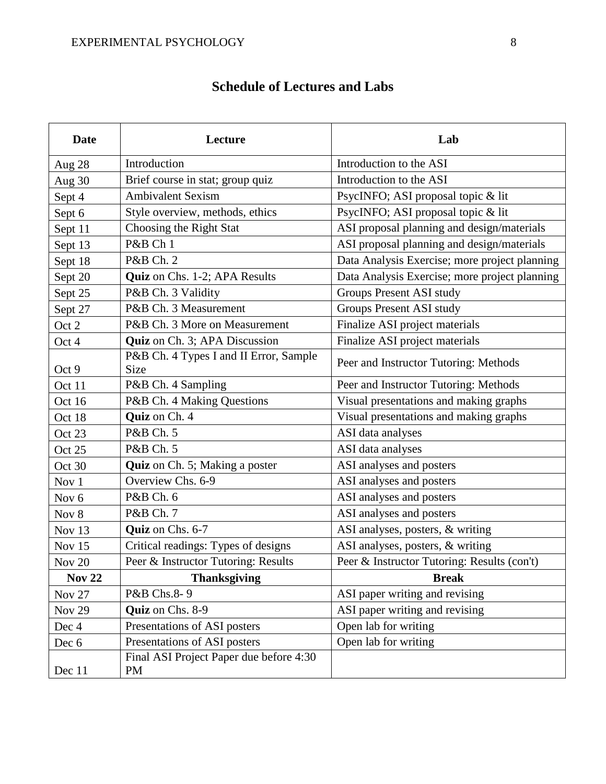| <b>Date</b>      | Lecture                                               | Lab                                           |  |
|------------------|-------------------------------------------------------|-----------------------------------------------|--|
| <b>Aug 28</b>    | Introduction                                          | Introduction to the ASI                       |  |
| Aug $30$         | Brief course in stat; group quiz                      | Introduction to the ASI                       |  |
| Sept 4           | <b>Ambivalent Sexism</b>                              | PsycINFO; ASI proposal topic & lit            |  |
| Sept 6           | Style overview, methods, ethics                       | PsycINFO; ASI proposal topic & lit            |  |
| Sept 11          | Choosing the Right Stat                               | ASI proposal planning and design/materials    |  |
| Sept 13          | P&B Ch 1                                              | ASI proposal planning and design/materials    |  |
| Sept 18          | P&B Ch. 2                                             | Data Analysis Exercise; more project planning |  |
| Sept 20          | Quiz on Chs. 1-2; APA Results                         | Data Analysis Exercise; more project planning |  |
| Sept 25          | P&B Ch. 3 Validity                                    | <b>Groups Present ASI study</b>               |  |
| Sept 27          | P&B Ch. 3 Measurement                                 | Groups Present ASI study                      |  |
| Oct 2            | P&B Ch. 3 More on Measurement                         | Finalize ASI project materials                |  |
| Oct 4            | Quiz on Ch. 3; APA Discussion                         | Finalize ASI project materials                |  |
| Oct 9            | P&B Ch. 4 Types I and II Error, Sample<br><b>Size</b> | Peer and Instructor Tutoring: Methods         |  |
| Oct 11           | P&B Ch. 4 Sampling                                    | Peer and Instructor Tutoring: Methods         |  |
| Oct 16           | P&B Ch. 4 Making Questions                            | Visual presentations and making graphs        |  |
| Oct 18           | Quiz on Ch. 4                                         | Visual presentations and making graphs        |  |
| Oct 23           | P&B Ch. 5                                             | ASI data analyses                             |  |
| Oct 25           | P&B Ch. 5                                             | ASI data analyses                             |  |
| Oct 30           | Quiz on Ch. 5; Making a poster                        | ASI analyses and posters                      |  |
| Nov 1            | Overview Chs. 6-9                                     | ASI analyses and posters                      |  |
| Nov <sub>6</sub> | P&B Ch. 6                                             | ASI analyses and posters                      |  |
| Nov 8            | P&B Ch. 7                                             | ASI analyses and posters                      |  |
| Nov 13           | Quiz on Chs. 6-7                                      | ASI analyses, posters, & writing              |  |
| Nov 15           | Critical readings: Types of designs                   | ASI analyses, posters, & writing              |  |
| Nov 20           | Peer & Instructor Tutoring: Results                   | Peer & Instructor Tutoring: Results (con't)   |  |
| <b>Nov 22</b>    | <b>Thanksgiving</b>                                   | <b>Break</b>                                  |  |
| <b>Nov 27</b>    | P&B Chs.8-9                                           | ASI paper writing and revising                |  |
| <b>Nov 29</b>    | Quiz on Chs. 8-9                                      | ASI paper writing and revising                |  |
| Dec 4            | Presentations of ASI posters                          | Open lab for writing                          |  |
| Dec 6            | Presentations of ASI posters                          | Open lab for writing                          |  |
| Dec 11           | Final ASI Project Paper due before 4:30<br><b>PM</b>  |                                               |  |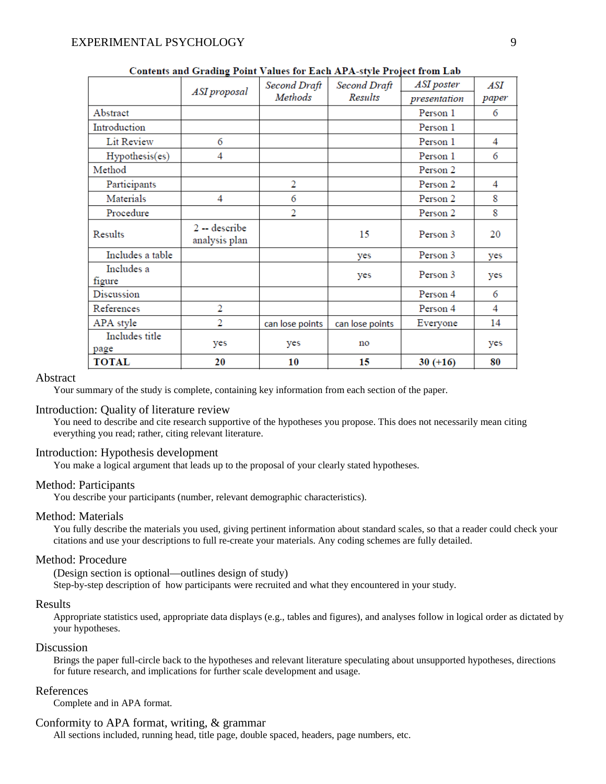|                        | ASI proposal                    | Second Draft<br>Methods | Second Draft<br>Results | ASI poster<br>presentation | ASI<br>paper |
|------------------------|---------------------------------|-------------------------|-------------------------|----------------------------|--------------|
| Abstract               |                                 |                         |                         | Person 1                   | 6            |
| Introduction           |                                 |                         |                         | Person 1                   |              |
| Lit Review             | 6                               |                         |                         | Person 1                   | 4            |
| Hypothesis(es)         | 4                               |                         |                         | Person 1                   | 6            |
| Method                 |                                 |                         |                         | Person 2                   |              |
| Participants           |                                 | 2                       |                         | Person 2                   | 4            |
| Materials              | 4                               | 6                       |                         | Person 2                   | 8            |
| Procedure              |                                 | 2                       |                         | Person 2                   | 8            |
| Results                | $2 -$ describe<br>analysis plan |                         | 15                      | Person 3                   | 20           |
| Includes a table       |                                 |                         | yes                     | Person 3                   | yes          |
| Includes a<br>figure   |                                 |                         | yes                     | Person 3                   | yes          |
| Discussion             |                                 |                         |                         | Person 4                   | 6            |
| References             | $\overline{2}$                  |                         |                         | Person 4                   | 4            |
| APA style              | 2                               | can lose points         | can lose points         | Everyone                   | 14           |
| Includes title<br>page | yes                             | yes                     | no                      |                            | yes          |
| <b>TOTAL</b>           | 20                              | 10                      | 15                      | $30 (+16)$                 | 80           |

Contents and Grading Point Values for Each APA-style Project from Lab

# Abstract

Your summary of the study is complete, containing key information from each section of the paper.

#### Introduction: Quality of literature review

You need to describe and cite research supportive of the hypotheses you propose. This does not necessarily mean citing everything you read; rather, citing relevant literature.

#### Introduction: Hypothesis development

You make a logical argument that leads up to the proposal of your clearly stated hypotheses.

# Method: Participants

You describe your participants (number, relevant demographic characteristics).

#### Method: Materials

You fully describe the materials you used, giving pertinent information about standard scales, so that a reader could check your citations and use your descriptions to full re-create your materials. Any coding schemes are fully detailed.

#### Method: Procedure

(Design section is optional—outlines design of study) Step-by-step description of how participants were recruited and what they encountered in your study.

#### Results

Appropriate statistics used, appropriate data displays (e.g., tables and figures), and analyses follow in logical order as dictated by your hypotheses.

#### Discussion

Brings the paper full-circle back to the hypotheses and relevant literature speculating about unsupported hypotheses, directions for future research, and implications for further scale development and usage.

### References

Complete and in APA format.

#### Conformity to APA format, writing, & grammar

All sections included, running head, title page, double spaced, headers, page numbers, etc.